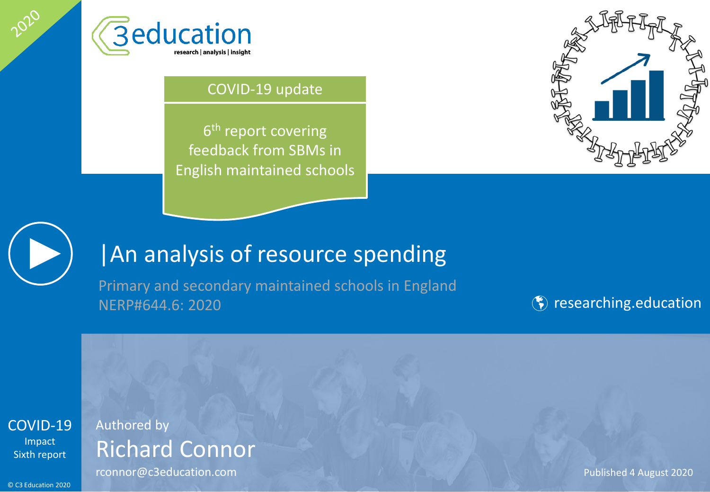

#### COVID-19 update

6<sup>th</sup> report covering feedback from SBMs in English maintained schools





2020

## |An analysis of resource spending

Primary and secondary maintained schools in England NERP#644.6: 2020 **Researching.education** 

[COVID-19](#page-2-0) Impact Sixth report

## Authored by Richard Connor

**rconnor@c3education.com** Published 4 August 2020

© C3 Education 2020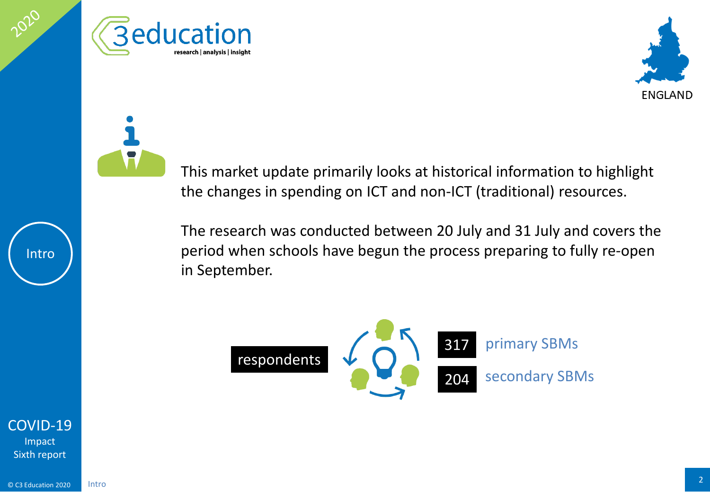





This market update primarily looks at historical information to highlight the changes in spending on ICT and non-ICT (traditional) resources.

The research was conducted between 20 July and 31 July and covers the period when schools have begun the process preparing to fully re-open in September.



[COVID-19](#page-2-0) Impact Sixth report

Intro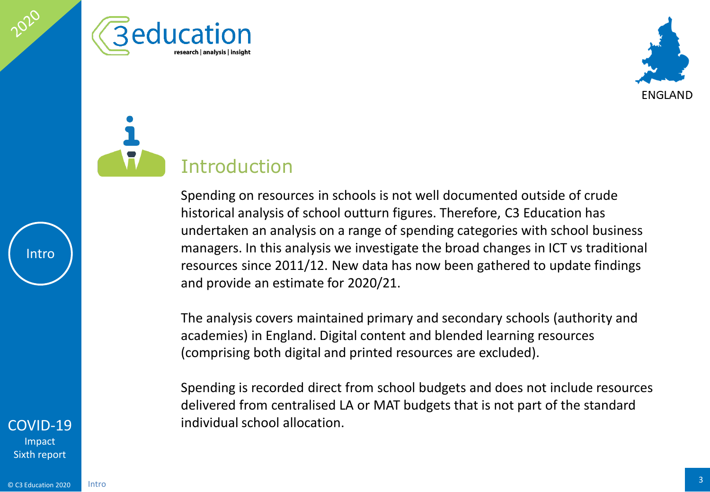<span id="page-2-0"></span>





Spending on resources in schools is not well documented outside of crude historical analysis of school outturn figures. Therefore, C3 Education has undertaken an analysis on a range of spending categories with school business managers. In this analysis we investigate the broad changes in ICT vs traditional resources since 2011/12. New data has now been gathered to update findings and provide an estimate for 2020/21.

The analysis covers maintained primary and secondary schools (authority and academies) in England. Digital content and blended learning resources (comprising both digital and printed resources are excluded).

Spending is recorded direct from school budgets and does not include resources delivered from centralised LA or MAT budgets that is not part of the standard individual school allocation.

#### [COVID-19](#page-2-0)

Impact Sixth report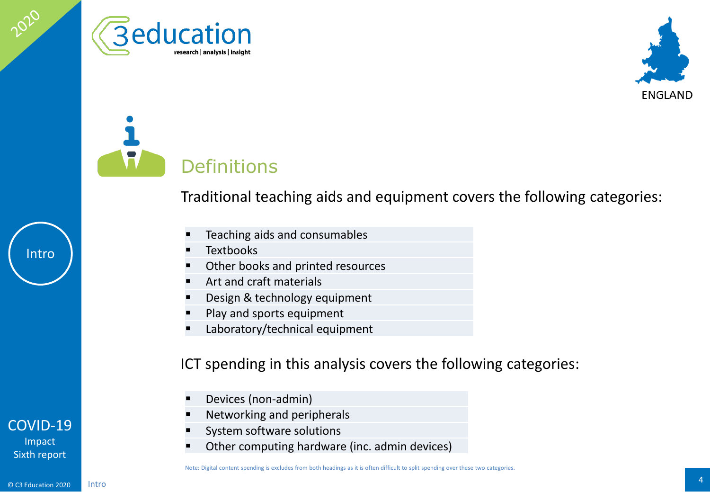





Traditional teaching aids and equipment covers the following categories:

- **Teaching aids and consumables**
- **Textbooks**
- **•** Other books and printed resources
- **Art and craft materials**
- **Design & technology equipment**
- Play and sports equipment
- **Laboratory/technical equipment**

#### ICT spending in this analysis covers the following categories:

- **Devices (non-admin)**
- **Networking and peripherals**
- System software solutions
- Other computing hardware (inc. admin devices)

# Intro

#### [COVID-19](#page-2-0)

Impact Sixth report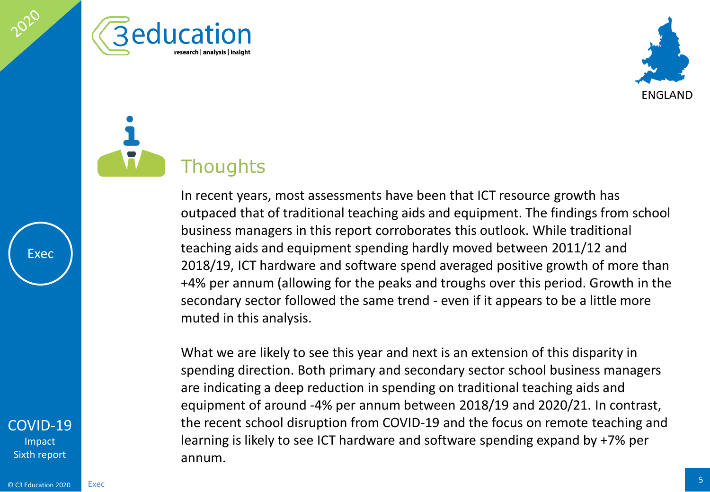





In recent years, most assessments have been that ICT resource growth has outpaced that of traditional teaching aids and equipment. The findings from school business managers in this report corroborates this outlook. While traditional teaching aids and equipment spending hardly moved between 2011/12 and 2018/19, ICT hardware and software spend averaged positive growth of more than +4% per annum (allowing for the peaks and troughs over this period. Growth in the secondary sector followed the same trend - even if it appears to be a little more muted in this analysis.

What we are likely to see this year and next is an extension of this disparity in spending direction. Both primary and secondary sector school business managers are indicating a deep reduction in spending on traditional teaching aids and equipment of around -4% per annum between 2018/19 and 2020/21. In contrast, the recent school disruption from COVID-19 and the focus on remote teaching and learning is likely to see ICT hardware and software spending expand by +7% per annum.

Exec

Impact Sixth report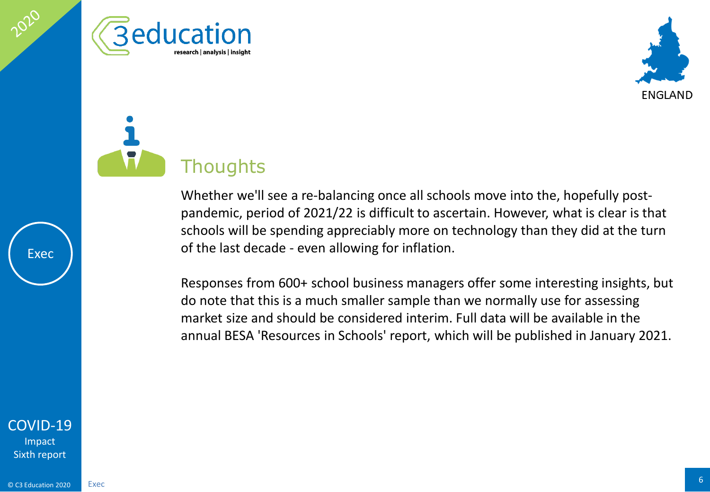





Whether we'll see a re-balancing once all schools move into the, hopefully postpandemic, period of 2021/22 is difficult to ascertain. However, what is clear is that schools will be spending appreciably more on technology than they did at the turn of the last decade - even allowing for inflation.

Responses from 600+ school business managers offer some interesting insights, but do note that this is a much smaller sample than we normally use for assessing market size and should be considered interim. Full data will be available in the annual BESA 'Resources in Schools' report, which will be published in January 2021.



Exec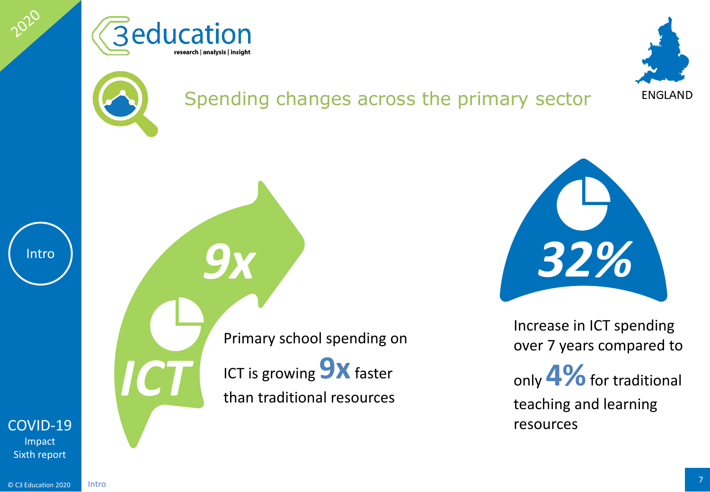





## Spending changes across the primary sector



2020



Primary school spending on ICT is growing **9X** faster than traditional resources *ICT*

*9x*

*32%*

Increase in ICT spending over 7 years compared to

only **4%**for traditional teaching and learning resources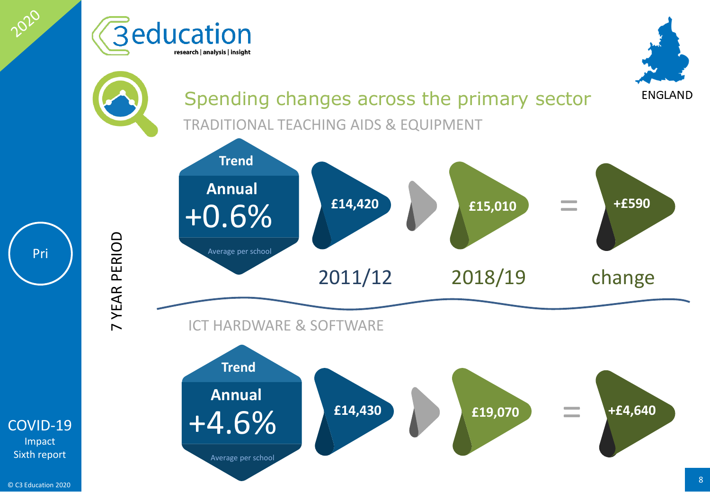

Impact Sixth report

Pri

2020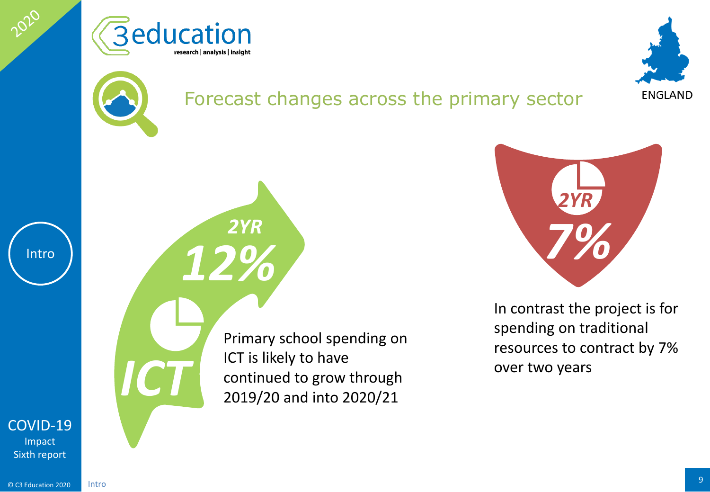





## Forecast changes across the primary sector



2020

[COVID-19](#page-2-0)

Impact Sixth report

*12%*

*2YR*

Primary school spending on ICT is likely to have continued to grow through<br>2019/20 and into 2020/21



In contrast the project is for spending on traditional resources to contract by 7% over two years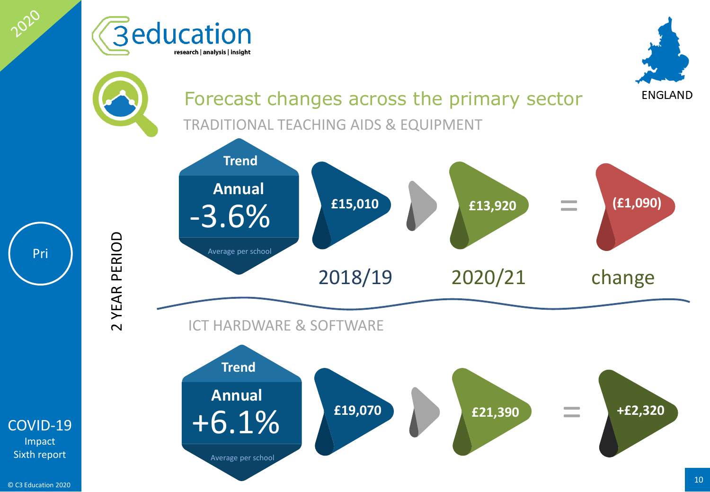

© C3 Education 2020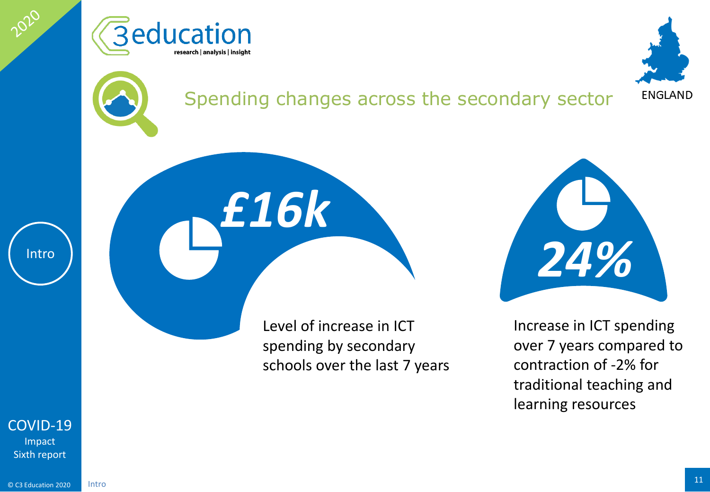





## Spending changes across the secondary sector



2020

Level of increase in ICT spending by secondary schools over the last 7 years

*£16k*

*24%* Increase in ICT spending

over 7 years compared to contraction of -2% for traditional teaching and learning resources

[COVID-19](#page-2-0) Impact Sixth report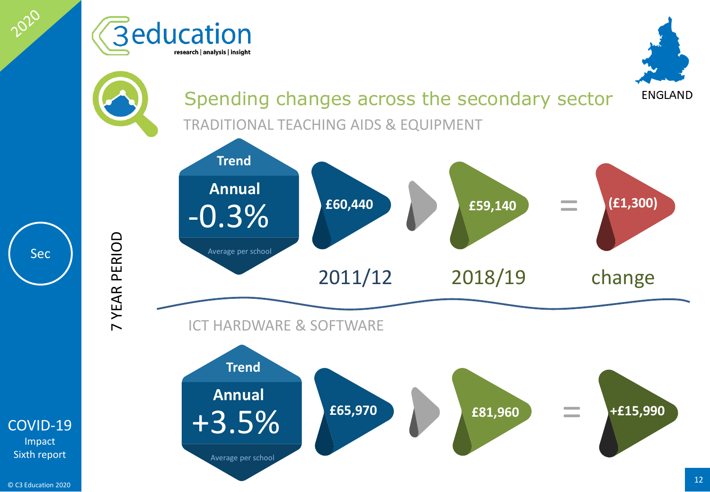

Impact Sixth report

Sec

2020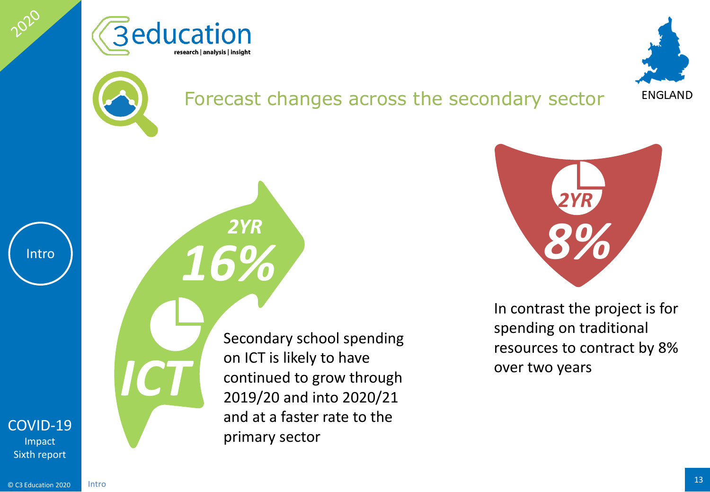

*16%*

*2YR*





## Forecast changes across the secondary sector



2020

[COVID-19](#page-2-0)

Impact Sixth report

Intro

*ICT*

Secondary school spending on ICT is likely to have continued to grow through 2019/20 and into 2020/21 and at a faster rate to the primary sector



In contrast the project is for spending on traditional resources to contract by 8% over two years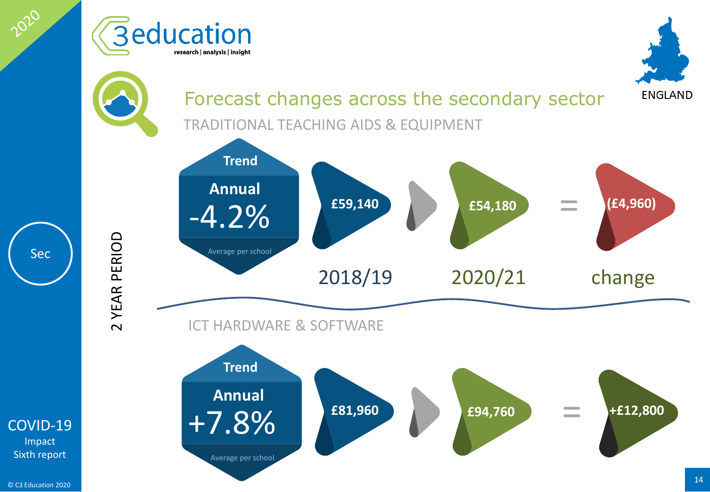

© C3 Education 2020

Impact Sixth report

Sec

2020